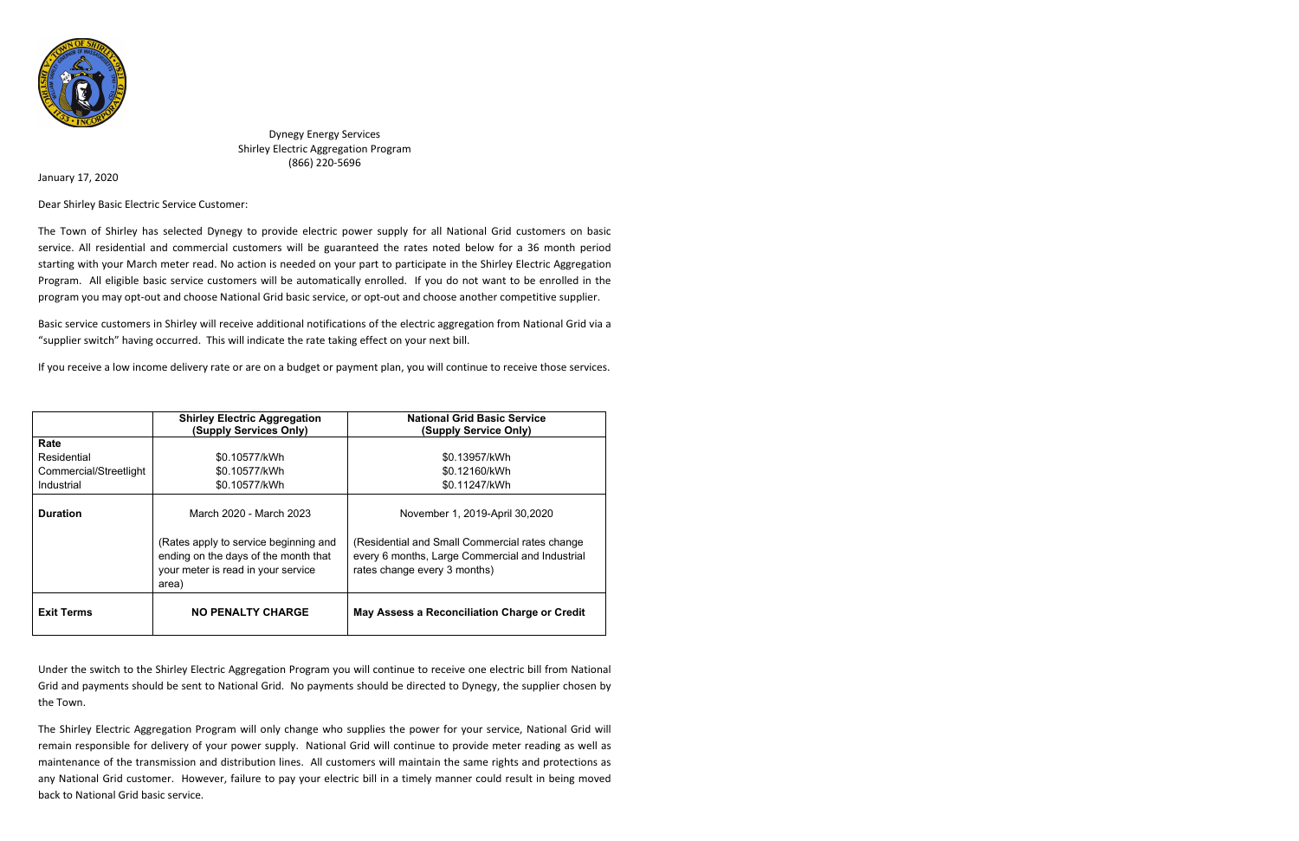

Dynegy Energy Services Shirley Electric Aggregation Program (866) 220-5696

January 17, 2020

Dear Shirley Basic Electric Service Customer:

The Town of Shirley has selected Dynegy to provide electric power supply for all National Grid customers on basic service. All residential and commercial customers will be guaranteed the rates noted below for a 36 month period starting with your March meter read. No action is needed on your part to participate in the Shirley Electric Aggregation Program. All eligible basic service customers will be automatically enrolled. If you do not want to be enrolled in the program you may opt-out and choose National Grid basic service, or opt-out and choose another competitive supplier.

Basic service customers in Shirley will receive additional notifications of the electric aggregation from National Grid via a "supplier switch" having occurred. This will indicate the rate taking effect on your next bill.

If you receive a low income delivery rate or are on a budget or payment plan, you will continue to receive those services.

|                        | <b>Shirley Electric Aggregation</b><br>(Supply Services Only)                                                                | <b>National Grid Basic Service</b><br>(Supply Service Only)                                                                       |
|------------------------|------------------------------------------------------------------------------------------------------------------------------|-----------------------------------------------------------------------------------------------------------------------------------|
| Rate                   |                                                                                                                              |                                                                                                                                   |
| Residential            | \$0.10577/kWh                                                                                                                | \$0.13957/kWh                                                                                                                     |
| Commercial/Streetlight | \$0.10577/kWh                                                                                                                | \$0.12160/kWh                                                                                                                     |
| Industrial             | \$0.10577/kWh                                                                                                                | \$0.11247/kWh                                                                                                                     |
| <b>Duration</b>        | March 2020 - March 2023                                                                                                      | November 1, 2019-April 30,2020                                                                                                    |
|                        | (Rates apply to service beginning and<br>ending on the days of the month that<br>your meter is read in your service<br>area) | (Residential and Small Commercial rates change<br>every 6 months, Large Commercial and Industrial<br>rates change every 3 months) |
| <b>Exit Terms</b>      | <b>NO PENALTY CHARGE</b>                                                                                                     | May Assess a Reconciliation Charge or Credit                                                                                      |

Under the switch to the Shirley Electric Aggregation Program you will continue to receive one electric bill from National Grid and payments should be sent to National Grid. No payments should be directed to Dynegy, the supplier chosen by the Town.

The Shirley Electric Aggregation Program will only change who supplies the power for your service, National Grid will remain responsible for delivery of your power supply. National Grid will continue to provide meter reading as well as maintenance of the transmission and distribution lines. All customers will maintain the same rights and protections as any National Grid customer. However, failure to pay your electric bill in a timely manner could result in being moved back to National Grid basic service.